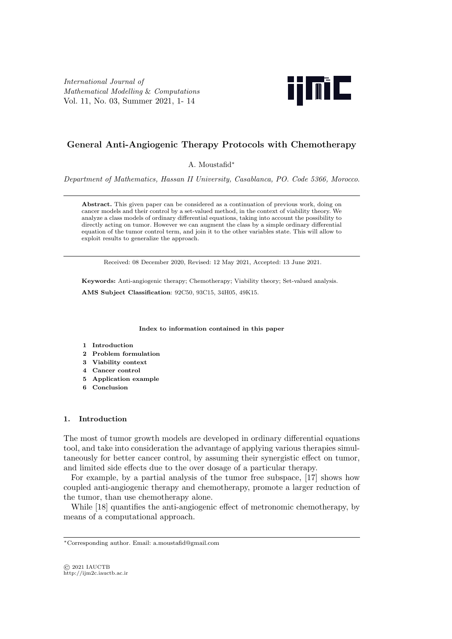*International Journal of Mathematical Modelling* & *Computations* Vol. 11, No. 03, Summer 2021, 1- 14



# **General Anti-Angiogenic Therapy Protocols with Chemotherapy**

A. Moustafid*∗*

*Department of Mathematics, Hassan II University, Casablanca, PO. Code 5366, Morocco*.

**Abstract.** This given paper can be considered as a continuation of previous work, doing on cancer models and their control by a set-valued method, in the context of viability theory. We analyze a class models of ordinary differential equations, taking into account the possibility to directly acting on tumor. However we can augment the class by a simple ordinary differential equation of the tumor control term, and join it to the other variables state. This will allow to exploit results to generalize the approach.

Received: 08 December 2020, Revised: 12 May 2021, Accepted: 13 June 2021.

**Keywords:** Anti-angiogenic therapy; Chemotherapy; Viability theory; Set-valued analysis. **AMS Subject Classification**: 92C50, 93C15, 34H05, 49K15.

**Index to information contained in this paper**

- **1 Introduction**
- **2 Problem formulation**
- **3 Viability context**
- **4 Cancer control**
- **5 Application example**
- **6 Conclusion**

## **1. Introduction**

The most of tumor growth models are developed in ordinary differential equations tool, and take into consideration the advantage of applying various therapies simultaneously for better cancer control, by assuming their synergistic effect on tumor, and limited side effects due to the over dosage of a particular therapy.

For example, by a partial analysis of the tumor free subspace, [17] shows how coupled anti-angiogenic therapy and chemotherapy, promote a larger reduction of the tumor, than use chemotherapy alone.

While [18] quantifies the anti-angiogenic effect of metronomic chemotherapy, by means of a computational approach.

*<sup>∗</sup>*Corresponding author. Email: a.moustafid@gmail.com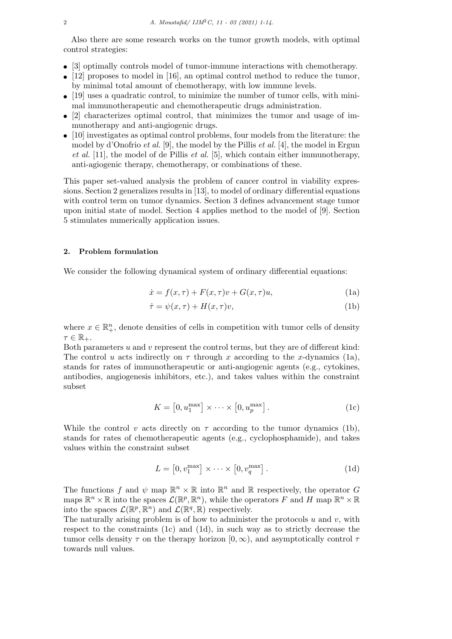Also there are some research works on the tumor growth models, with optimal control strategies:

- [3] optimally controls model of tumor-immune interactions with chemotherapy.
- [12] proposes to model in [16], an optimal control method to reduce the tumor, by minimal total amount of chemotherapy, with low immune levels.
- [19] uses a quadratic control, to minimize the number of tumor cells, with minimal immunotherapeutic and chemotherapeutic drugs administration.
- [2] characterizes optimal control, that minimizes the tumor and usage of immunotherapy and anti-angiogenic drugs.
- [10] investigates as optimal control problems, four models from the literature: the model by d'Onofrio *et al.* [9], the model by the Pillis *et al.* [4], the model in Ergun *et al.* [11], the model of de Pillis *et al.* [5], which contain either immunotherapy, anti-agiogenic therapy, chemotherapy, or combinations of these.

This paper set-valued analysis the problem of cancer control in viability expressions. Section 2 generalizes results in [13], to model of ordinary differential equations with control term on tumor dynamics. Section 3 defines advancement stage tumor upon initial state of model. Section 4 applies method to the model of [9]. Section 5 stimulates numerically application issues.

### **2. Problem formulation**

We consider the following dynamical system of ordinary differential equations:

$$
\dot{x} = f(x,\tau) + F(x,\tau)v + G(x,\tau)u,\tag{1a}
$$

$$
\dot{\tau} = \psi(x,\tau) + H(x,\tau)v,\tag{1b}
$$

where  $x \in \mathbb{R}^n_+$ , denote densities of cells in competition with tumor cells of density  $\tau \in \mathbb{R}_+$ .

Both parameters *u* and *v* represent the control terms, but they are of different kind: The control *u* acts indirectly on  $\tau$  through *x* according to the *x*-dynamics (1a), stands for rates of immunotherapeutic or anti-angiogenic agents (e.g., cytokines, antibodies, angiogenesis inhibitors, etc.), and takes values within the constraint subset

$$
K = [0, u_1^{\max}] \times \cdots \times [0, u_p^{\max}].
$$
 (1c)

While the control *v* acts directly on  $\tau$  according to the tumor dynamics (1b), stands for rates of chemotherapeutic agents (e.g., cyclophosphamide), and takes values within the constraint subset

$$
L = [0, v_1^{\max}] \times \cdots \times [0, v_q^{\max}].
$$
 (1d)

The functions *f* and  $\psi$  map  $\mathbb{R}^n \times \mathbb{R}$  into  $\mathbb{R}^n$  and  $\mathbb{R}$  respectively, the operator *G* maps  $\mathbb{R}^n \times \mathbb{R}$  into the spaces  $\mathcal{L}(\mathbb{R}^p, \mathbb{R}^n)$ , while the operators F and H map  $\mathbb{R}^n \times \mathbb{R}$ into the spaces  $\mathcal{L}(\mathbb{R}^p, \mathbb{R}^n)$  and  $\mathcal{L}(\mathbb{R}^q, \mathbb{R})$  respectively.

The naturally arising problem is of how to administer the protocols *u* and *v*, with respect to the constraints  $(1c)$  and  $(1d)$ , in such way as to strictly decrease the tumor cells density  $\tau$  on the therapy horizon  $[0, \infty)$ , and asymptotically control  $\tau$ towards null values.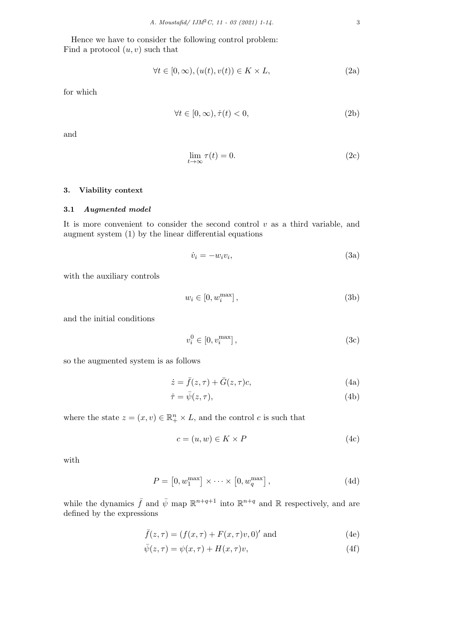Hence we have to consider the following control problem: Find a protocol (*u, v*) such that

$$
\forall t \in [0, \infty), (u(t), v(t)) \in K \times L,\tag{2a}
$$

for which

$$
\forall t \in [0, \infty), \dot{\tau}(t) < 0,\tag{2b}
$$

and

$$
\lim_{t \to \infty} \tau(t) = 0. \tag{2c}
$$

## **3. Viability context**

## **3.1** *Augmented model*

It is more convenient to consider the second control *v* as a third variable, and augment system (1) by the linear differential equations

$$
\dot{v}_i = -w_i v_i,\tag{3a}
$$

with the auxiliary controls

$$
w_i \in [0, w_i^{\max}], \tag{3b}
$$

and the initial conditions

$$
v_i^0 \in [0, v_i^{\max}], \tag{3c}
$$

so the augmented system is as follows

$$
\dot{z} = \bar{f}(z,\tau) + \bar{G}(z,\tau)c,\tag{4a}
$$

$$
\dot{\tau} = \bar{\psi}(z, \tau),\tag{4b}
$$

where the state  $z = (x, v) \in \mathbb{R}_+^n \times L$ , and the control *c* is such that

$$
c = (u, w) \in K \times P \tag{4c}
$$

with

$$
P = [0, w_1^{\max}] \times \cdots \times [0, w_q^{\max}], \qquad (4d)
$$

while the dynamics  $\bar{f}$  and  $\bar{\psi}$  map  $\mathbb{R}^{n+q+1}$  into  $\mathbb{R}^{n+q}$  and  $\mathbb{R}$  respectively, and are defined by the expressions

$$
\bar{f}(z,\tau) = (f(x,\tau) + F(x,\tau)v,0)'
$$
 and (4e)

$$
\bar{\psi}(z,\tau) = \psi(x,\tau) + H(x,\tau)v,\tag{4f}
$$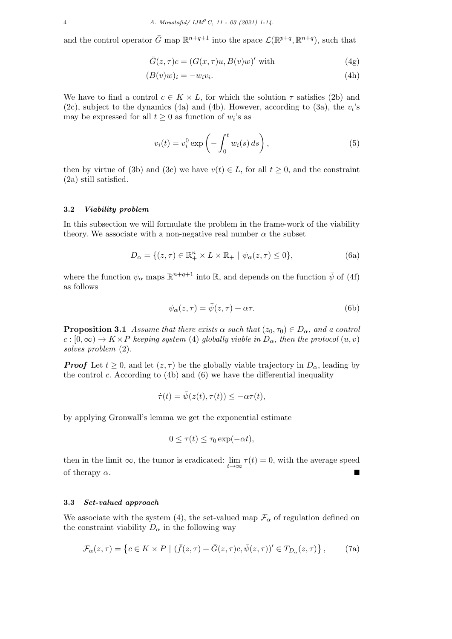and the control operator  $\bar{G}$  map  $\mathbb{R}^{n+q+1}$  into the space  $\mathcal{L}(\mathbb{R}^{p+q}, \mathbb{R}^{n+q})$ , such that

$$
\bar{G}(z,\tau)c = (G(x,\tau)u, B(v)w)'
$$
 with (4g)

$$
(B(v)w)_i = -w_i v_i. \tag{4h}
$$

We have to find a control  $c \in K \times L$ , for which the solution  $\tau$  satisfies (2b) and (2c), subject to the dynamics (4a) and (4b). However, according to (3a), the *v<sup>i</sup>* 's may be expressed for all  $t \geq 0$  as function of  $w_i$ 's as

$$
v_i(t) = v_i^0 \exp\left(-\int_0^t w_i(s) \, ds\right),\tag{5}
$$

then by virtue of (3b) and (3c) we have  $v(t) \in L$ , for all  $t \geq 0$ , and the constraint (2a) still satisfied.

### **3.2** *Viability problem*

In this subsection we will formulate the problem in the frame-work of the viability theory. We associate with a non-negative real number  $\alpha$  the subset

$$
D_{\alpha} = \{ (z, \tau) \in \mathbb{R}_+^n \times L \times \mathbb{R}_+ \mid \psi_{\alpha}(z, \tau) \le 0 \},\tag{6a}
$$

where the function  $\psi_{\alpha}$  maps  $\mathbb{R}^{n+q+1}$  into  $\mathbb{R}$ , and depends on the function  $\bar{\psi}$  of (4f) as follows

$$
\psi_{\alpha}(z,\tau) = \bar{\psi}(z,\tau) + \alpha \tau.
$$
\n(6b)

**Proposition 3.1** *Assume that there exists*  $\alpha$  *such that* ( $z_0, \tau_0$ )  $\in D_\alpha$ , and a control  $c : [0, \infty) \to K \times P$  *keeping system* (4) *globally viable in*  $D_{\alpha}$ *, then the protocol*  $(u, v)$ *solves problem* (2)*.*

*Proof* Let  $t \geq 0$ , and let  $(z, \tau)$  be the globally viable trajectory in  $D_{\alpha}$ , leading by the control *c*. According to (4b) and (6) we have the differential inequality

$$
\dot{\tau}(t) = \bar{\psi}(z(t), \tau(t)) \leq -\alpha \tau(t),
$$

by applying Gronwall's lemma we get the exponential estimate

$$
0 \le \tau(t) \le \tau_0 \exp(-\alpha t),
$$

then in the limit  $\infty$ , the tumor is eradicated:  $\lim_{t \to \infty} \tau(t) = 0$ , with the average speed of therapy  $\alpha$ .

### **3.3** *Set-valued approach*

We associate with the system (4), the set-valued map  $\mathcal{F}_{\alpha}$  of regulation defined on the constraint viability  $D_{\alpha}$  in the following way

$$
\mathcal{F}_{\alpha}(z,\tau) = \left\{ c \in K \times P \mid (\bar{f}(z,\tau) + \bar{G}(z,\tau)c, \bar{\psi}(z,\tau))' \in T_{D_{\alpha}}(z,\tau) \right\},\tag{7a}
$$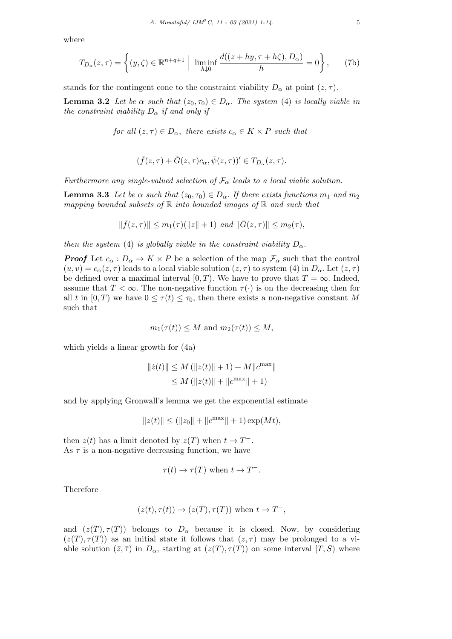where

$$
T_{D_{\alpha}}(z,\tau) = \left\{ (y,\zeta) \in \mathbb{R}^{n+q+1} \; \Big| \; \liminf_{h \downarrow 0} \frac{d((z+hy,\tau+h\zeta),D_{\alpha})}{h} = 0 \right\},\tag{7b}
$$

stands for the contingent cone to the constraint viability  $D_{\alpha}$  at point  $(z, \tau)$ .

**Lemma 3.2** *Let be*  $\alpha$  *such that*  $(z_0, \tau_0) \in D_\alpha$ *. The system* (4) *is locally viable in the constraint viability*  $D_{\alpha}$  *if and only if* 

*for all*  $(z, \tau) \in D_\alpha$ , *there exists*  $c_\alpha \in K \times P$  *such that* 

$$
(\bar{f}(z,\tau)+\bar{G}(z,\tau)c_{\alpha},\bar{\psi}(z,\tau))'\in T_{D_{\alpha}}(z,\tau).
$$

*Furthermore any single-valued selection of*  $\mathcal{F}_{\alpha}$  *leads to a local viable solution.* 

**Lemma 3.3** *Let be*  $\alpha$  *such that* ( $z_0, \tau_0$ )  $\in D_\alpha$ *. If there exists functions*  $m_1$  *and*  $m_2$ *mapping bounded subsets of* R *into bounded images of* R *and such that*

$$
\|\bar{f}(z,\tau)\| \le m_1(\tau)(\|z\|+1) \text{ and } \|\bar{G}(z,\tau)\| \le m_2(\tau),
$$

*then the system* (4) *is globally viable in the constraint viability*  $D_{\alpha}$ .

*Proof* Let  $c_{\alpha}: D_{\alpha} \to K \times P$  be a selection of the map  $\mathcal{F}_{\alpha}$  such that the control  $(u, v) = c_{\alpha}(z, \tau)$  leads to a local viable solution  $(z, \tau)$  to system (4) in  $D_{\alpha}$ . Let  $(z, \tau)$ be defined over a maximal interval  $[0, T)$ . We have to prove that  $T = \infty$ . Indeed, assume that  $T < \infty$ . The non-negative function  $\tau(\cdot)$  is on the decreasing then for all *t* in  $[0, T)$  we have  $0 \leq \tau(t) \leq \tau_0$ , then there exists a non-negative constant M such that

$$
m_1(\tau(t)) \leq M
$$
 and  $m_2(\tau(t)) \leq M$ ,

which yields a linear growth for (4a)

$$
||\dot{z}(t)|| \le M (||z(t)|| + 1) + M||c^{\max}||
$$
  
\n
$$
\le M (||z(t)|| + ||c^{\max}|| + 1)
$$

and by applying Gronwall's lemma we get the exponential estimate

$$
||z(t)|| \le (||z_0|| + ||c^{\max}|| + 1) \exp(Mt),
$$

then  $z(t)$  has a limit denoted by  $z(T)$  when  $t \to T^-$ . As  $\tau$  is a non-negative decreasing function, we have

$$
\tau(t) \to \tau(T)
$$
 when  $t \to T^-$ .

Therefore

$$
(z(t), \tau(t)) \to (z(T), \tau(T))
$$
 when  $t \to T^-$ ,

and  $(z(T), \tau(T))$  belongs to  $D_{\alpha}$  because it is closed. Now, by considering  $(z(T), \tau(T))$  as an initial state it follows that  $(z, \tau)$  may be prolonged to a viable solution  $(\bar{z}, \bar{\tau})$  in  $D_{\alpha}$ , starting at  $(z(T), \tau(T))$  on some interval  $[T, S)$  where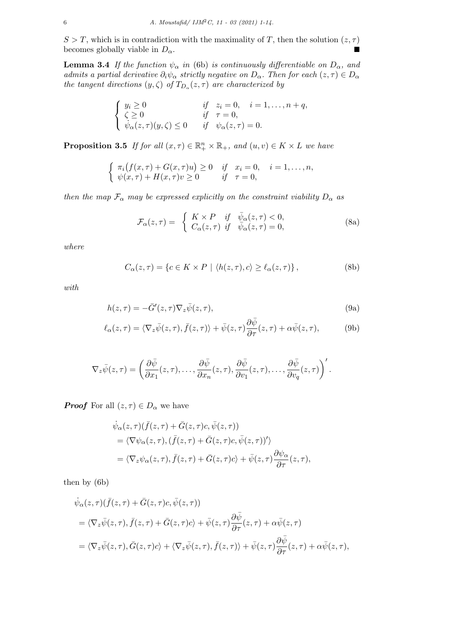$S > T$ , which is in contradiction with the maximality of *T*, then the solution  $(z, \tau)$ becomes globally viable in  $D_{\alpha}$ .

**Lemma 3.4** *If the function*  $\psi_{\alpha}$  *in* (6b) *is continuously differentiable on*  $D_{\alpha}$ *, and admits a partial derivative*  $\partial_i \psi_\alpha$  *strictly negative on*  $D_\alpha$ *. Then for each*  $(z, \tau) \in D_\alpha$ *the tangent directions*  $(y, \zeta)$  *of*  $T_{D_{\alpha}}(z, \tau)$  *are characterized by* 

$$
\begin{cases}\ny_i \ge 0 & \text{if } z_i = 0, \quad i = 1, \dots, n + q, \\
\zeta \ge 0 & \text{if } \tau = 0, \\
\psi_\alpha(z, \tau)(y, \zeta) \le 0 & \text{if } \psi_\alpha(z, \tau) = 0.\n\end{cases}
$$

**Proposition 3.5** *If for all*  $(x, \tau) \in \mathbb{R}_+^n \times \mathbb{R}_+$ *, and*  $(u, v) \in K \times L$  *we have* 

$$
\begin{cases} \pi_i(f(x,\tau) + G(x,\tau)u) \ge 0 & \text{if } x_i = 0, \quad i = 1,\ldots,n, \\ \psi(x,\tau) + H(x,\tau)v \ge 0 & \text{if } \tau = 0, \end{cases}
$$

*then the map*  $\mathcal{F}_{\alpha}$  *may be expressed explicitly on the constraint viability*  $D_{\alpha}$  *as* 

$$
\mathcal{F}_{\alpha}(z,\tau) = \begin{cases} K \times P & \text{if } \bar{\psi}_{\alpha}(z,\tau) < 0, \\ C_{\alpha}(z,\tau) & \text{if } \bar{\psi}_{\alpha}(z,\tau) = 0, \end{cases}
$$
\n(8a)

*where*

$$
C_{\alpha}(z,\tau) = \{c \in K \times P \mid \langle h(z,\tau), c \rangle \ge \ell_{\alpha}(z,\tau) \},\tag{8b}
$$

*with*

$$
h(z,\tau) = -\bar{G}'(z,\tau)\nabla_z\bar{\psi}(z,\tau),\tag{9a}
$$

$$
\ell_{\alpha}(z,\tau) = \langle \nabla_z \bar{\psi}(z,\tau), \bar{f}(z,\tau) \rangle + \bar{\psi}(z,\tau) \frac{\partial \bar{\psi}}{\partial \tau}(z,\tau) + \alpha \bar{\psi}(z,\tau), \tag{9b}
$$

$$
\nabla_z \bar{\psi}(z,\tau) = \left(\frac{\partial \bar{\psi}}{\partial x_1}(z,\tau),\ldots,\frac{\partial \bar{\psi}}{\partial x_n}(z,\tau),\frac{\partial \bar{\psi}}{\partial v_1}(z,\tau),\ldots,\frac{\partial \bar{\psi}}{\partial v_q}(z,\tau)\right)'.
$$

*Proof* For all  $(z, \tau) \in D_\alpha$  we have

$$
\dot{\psi}_{\alpha}(z,\tau)(\bar{f}(z,\tau)+\bar{G}(z,\tau)c,\bar{\psi}(z,\tau))
$$
\n
$$
=\langle \nabla \psi_{\alpha}(z,\tau), (\bar{f}(z,\tau)+\bar{G}(z,\tau)c,\bar{\psi}(z,\tau))'\rangle
$$
\n
$$
=\langle \nabla_{z}\psi_{\alpha}(z,\tau), \bar{f}(z,\tau)+\bar{G}(z,\tau)c\rangle+\bar{\psi}(z,\tau)\frac{\partial \psi_{\alpha}}{\partial \tau}(z,\tau),
$$

then by (6b)

$$
\dot{\psi}_{\alpha}(z,\tau)(\bar{f}(z,\tau)+\bar{G}(z,\tau)c,\bar{\psi}(z,\tau))
$$
\n
$$
=\langle \nabla_{z}\bar{\psi}(z,\tau),\bar{f}(z,\tau)+\bar{G}(z,\tau)c\rangle+\bar{\psi}(z,\tau)\frac{\partial\bar{\psi}}{\partial\tau}(z,\tau)+\alpha\bar{\psi}(z,\tau)
$$
\n
$$
=\langle \nabla_{z}\bar{\psi}(z,\tau),\bar{G}(z,\tau)c\rangle+\langle \nabla_{z}\bar{\psi}(z,\tau),\bar{f}(z,\tau)\rangle+\bar{\psi}(z,\tau)\frac{\partial\bar{\psi}}{\partial\tau}(z,\tau)+\alpha\bar{\psi}(z,\tau),
$$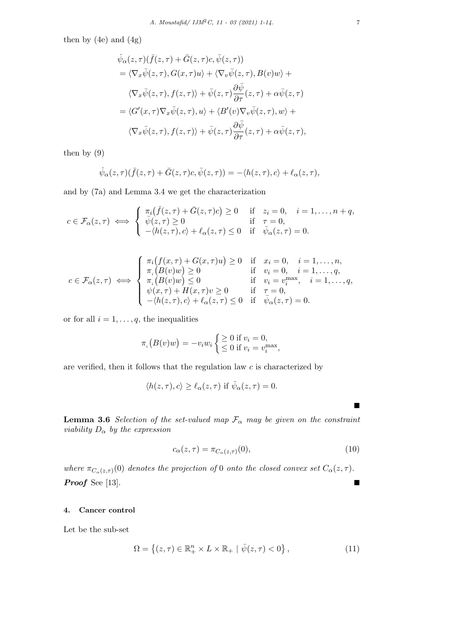then by  $(4e)$  and  $(4g)$ 

$$
\begin{split}\n\dot{\psi}_{\alpha}(z,\tau)(\bar{f}(z,\tau)+\bar{G}(z,\tau)c,\bar{\psi}(z,\tau)) \\
&= \langle \nabla_{x}\bar{\psi}(z,\tau),G(x,\tau)u\rangle + \langle \nabla_{v}\bar{\psi}(z,\tau),B(v)w\rangle + \\
&\langle \nabla_{x}\bar{\psi}(z,\tau),f(z,\tau)\rangle + \bar{\psi}(z,\tau)\frac{\partial\bar{\psi}}{\partial\tau}(z,\tau) + \alpha\bar{\psi}(z,\tau) \\
&= \langle G'(x,\tau)\nabla_{x}\bar{\psi}(z,\tau),u\rangle + \langle B'(v)\nabla_{v}\bar{\psi}(z,\tau),w\rangle + \\
&\langle \nabla_{x}\bar{\psi}(z,\tau),f(z,\tau)\rangle + \bar{\psi}(z,\tau)\frac{\partial\bar{\psi}}{\partial\tau}(z,\tau) + \alpha\bar{\psi}(z,\tau),\n\end{split}
$$

then by (9)

$$
\dot{\psi}_{\alpha}(z,\tau)(\bar{f}(z,\tau)+\bar{G}(z,\tau)c,\bar{\psi}(z,\tau))=-\langle h(z,\tau),c\rangle+\ell_{\alpha}(z,\tau),
$$

and by (7a) and Lemma 3.4 we get the characterization

$$
c \in \mathcal{F}_{\alpha}(z,\tau) \iff \begin{cases} \pi_i(\bar{f}(z,\tau) + \bar{G}(z,\tau)c) \ge 0 & \text{if } z_i = 0, \quad i = 1,\ldots, n+q, \\ \bar{\psi}(z,\tau) \ge 0 & \text{if } \tau = 0, \\ -\langle h(z,\tau),c\rangle + \ell_{\alpha}(z,\tau) \le 0 & \text{if } \bar{\psi}_{\alpha}(z,\tau) = 0. \end{cases}
$$

$$
c \in \mathcal{F}_{\alpha}(z,\tau) \iff \begin{cases} \pi_i(f(x,\tau) + G(x,\tau)u) \ge 0 & \text{if } x_i = 0, \quad i = 1,\ldots,n, \\ \pi_i(B(v)w) \ge 0 & \text{if } v_i = 0, \quad i = 1,\ldots,q, \\ \pi_i(B(v)w) \le 0 & \text{if } v_i = v_i^{\max}, \quad i = 1,\ldots,q, \\ \psi(x,\tau) + H(x,\tau)v \ge 0 & \text{if } \tau = 0, \\ -\langle h(z,\tau),c \rangle + \ell_{\alpha}(z,\tau) \le 0 & \text{if } \bar{\psi}_{\alpha}(z,\tau) = 0. \end{cases}
$$

or for all  $i = 1, \ldots, q$ , the inequalities

$$
\pi_i(B(v)w) = -v_i w_i \begin{cases} \geq 0 \text{ if } v_i = 0, \\ \leq 0 \text{ if } v_i = v_i^{\max}, \end{cases}
$$

are verified, then it follows that the regulation law *c* is characterized by

$$
\langle h(z,\tau),c\rangle \geq \ell_{\alpha}(z,\tau)
$$
 if  $\bar{\psi}_{\alpha}(z,\tau) = 0$ .

**Lemma 3.6** *Selection of the set-valued map*  $\mathcal{F}_{\alpha}$  *may be given on the constraint viability D<sup>α</sup> by the expression*

$$
c_{\alpha}(z,\tau) = \pi_{C_{\alpha}(z,\tau)}(0),\tag{10}
$$

*where*  $\pi_{C_{\alpha}(z,\tau)}(0)$  *denotes the projection of* 0 *onto the closed convex set*  $C_{\alpha}(z,\tau)$ *. Proof* See [13]. ■■

# **4. Cancer control**

Let be the sub-set

$$
\Omega = \left\{ (z, \tau) \in \mathbb{R}_+^n \times L \times \mathbb{R}_+ \mid \bar{\psi}(z, \tau) < 0 \right\},\tag{11}
$$

■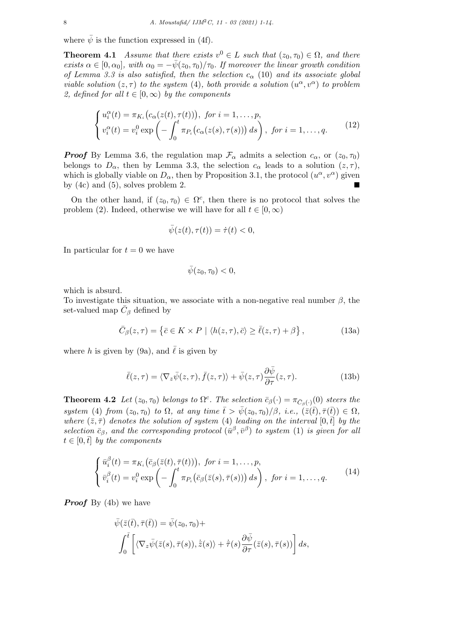where  $\bar{\psi}$  is the function expressed in (4f).

**Theorem 4.1** *Assume that there exists*  $v^0 \in L$  *such that*  $(z_0, \tau_0) \in \Omega$ *, and there exists*  $\alpha \in [0, \alpha_0]$ *, with*  $\alpha_0 = -\bar{\psi}(z_0, \tau_0)/\tau_0$ *. If moreover the linear growth condition of Lemma 3.3 is also satisfied, then the selection c<sup>α</sup>* (10) *and its associate global viable solution*  $(z, \tau)$  *to the system* (4)*, both provide a solution*  $(u^{\alpha}, v^{\alpha})$  *to problem 2, defined for all*  $t \in [0, \infty)$  *by the components* 

$$
\begin{cases}\nu_i^{\alpha}(t) = \pi_{K_i}(c_{\alpha}(z(t), \tau(t))), \text{ for } i = 1, \dots, p, \\
v_i^{\alpha}(t) = v_i^0 \exp\left(-\int_0^t \pi_{P_i}(c_{\alpha}(z(s), \tau(s))) ds\right), \text{ for } i = 1, \dots, q.\n\end{cases} \tag{12}
$$

*Proof* By Lemma 3.6, the regulation map  $\mathcal{F}_{\alpha}$  admits a selection  $c_{\alpha}$ , or  $(z_0, \tau_0)$ belongs to  $D_\alpha$ , then by Lemma 3.3, the selection  $c_\alpha$  leads to a solution  $(z, \tau)$ , which is globally viable on  $D_{\alpha}$ , then by Proposition 3.1, the protocol  $(u^{\alpha}, v^{\alpha})$  given by  $(4c)$  and  $(5)$ , solves problem 2.

On the other hand, if  $(z_0, \tau_0) \in \Omega^c$ , then there is no protocol that solves the problem (2). Indeed, otherwise we will have for all  $t \in [0, \infty)$ 

$$
\bar{\psi}(z(t),\tau(t))=\dot{\tau}(t)<0,
$$

In particular for  $t = 0$  we have

$$
\bar{\psi}(z_0, \tau_0)<0,
$$

which is absurd.

To investigate this situation, we associate with a non-negative real number *β*, the set-valued map  $\bar{C}_{\beta}$  defined by

$$
\bar{C}_{\beta}(z,\tau) = \left\{ \bar{c} \in K \times P \mid \langle h(z,\tau), \bar{c} \rangle \ge \bar{\ell}(z,\tau) + \beta \right\},\tag{13a}
$$

where *h* is given by (9a), and  $\ell$  is given by

$$
\bar{\ell}(z,\tau) = \langle \nabla_z \bar{\psi}(z,\tau), \bar{f}(z,\tau) \rangle + \bar{\psi}(z,\tau) \frac{\partial \bar{\psi}}{\partial \tau}(z,\tau). \tag{13b}
$$

**Theorem 4.2** *Let*  $(z_0, \tau_0)$  *belongs to*  $\Omega^c$ *. The selection*  $\bar{c}_{\beta}(\cdot) = \pi_{\bar{C}_{\beta}(\cdot)}(0)$  *steers the*  $system(4)$  *from*  $(z_0, \tau_0)$  *to*  $\Omega$ *, at any time*  $\bar{t} > \bar{\psi}(z_0, \tau_0)/\beta$ *, i.e.,*  $(\bar{z}(\bar{t}), \bar{\tau}(\bar{t})) \in \Omega$ *, where*  $(\bar{z}, \bar{\tau})$  *denotes the solution of system* (4) *leading on the interval* [0*,t*] *by the selection*  $\bar{c}_{\beta}$ *, and the corresponding protocol* ( $\bar{u}^{\beta}, \bar{v}^{\beta}$ ) *to system* (1) *is given for all*  $t \in [0, \bar{t}]$  *by the components* 

$$
\begin{cases}\n\bar{u}_i^{\beta}(t) = \pi_{K_i}(\bar{c}_{\beta}(\bar{z}(t), \bar{\tau}(t))), & \text{for } i = 1, \dots, p, \\
\bar{v}_i^{\beta}(t) = v_i^0 \exp\left(-\int_0^t \pi_{P_i}(\bar{c}_{\beta}(\bar{z}(s), \bar{\tau}(s)))\,ds\right), & \text{for } i = 1, \dots, q.\n\end{cases} \tag{14}
$$

*Proof* By (4b) we have

$$
\bar{\psi}(\bar{z}(\bar{t}), \bar{\tau}(\bar{t})) = \bar{\psi}(z_0, \tau_0) +
$$
\n
$$
\int_0^{\bar{t}} \left[ \langle \nabla_z \bar{\psi}(\bar{z}(s), \bar{\tau}(s)), \dot{\bar{z}}(s) \rangle + \dot{\bar{\tau}}(s) \frac{\partial \bar{\psi}}{\partial \tau}(\bar{z}(s), \bar{\tau}(s)) \right] ds,
$$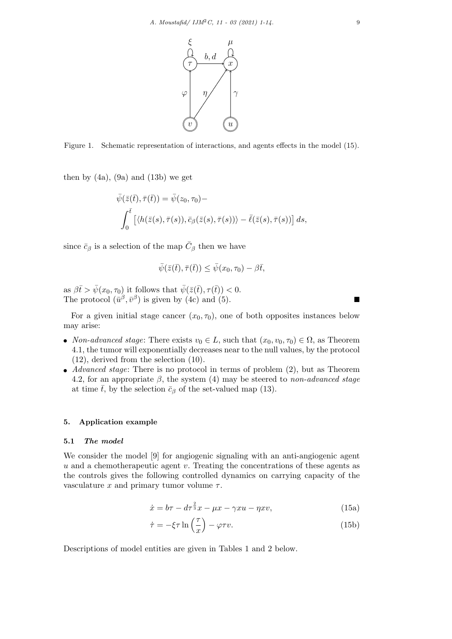

Figure 1. Schematic representation of interactions, and agents effects in the model (15).

then by  $(4a)$ ,  $(9a)$  and  $(13b)$  we get

$$
\bar{\psi}(\bar{z}(\bar{t}), \bar{\tau}(\bar{t})) = \bar{\psi}(z_0, \tau_0) -
$$
\n
$$
\int_0^{\bar{t}} \left[ \langle h(\bar{z}(s), \bar{\tau}(s)), \bar{c}_{\beta}(\bar{z}(s), \bar{\tau}(s)) \rangle - \bar{\ell}(\bar{z}(s), \bar{\tau}(s)) \right] ds,
$$

since  $\bar{c}_{\beta}$  is a selection of the map  $\bar{C}_{\beta}$  then we have

$$
\bar{\psi}(\bar{z}(\bar{t}), \bar{\tau}(\bar{t})) \leq \bar{\psi}(x_0, \tau_0) - \beta \bar{t},
$$

as  $\beta \bar{t} > \bar{\psi}(x_0, \tau_0)$  it follows that  $\bar{\psi}(\bar{z}(\bar{t}), \tau(\bar{t})) < 0$ . The protocol  $(\bar{u}^{\beta}, \bar{v}^{\beta})$  is given by (4c) and (5).

For a given initial stage cancer  $(x_0, \tau_0)$ , one of both opposites instances below may arise:

- *Non-advanced stage*: There exists  $v_0 \in L$ , such that  $(x_0, v_0, \tau_0) \in \Omega$ , as Theorem 4.1, the tumor will exponentially decreases near to the null values, by the protocol (12), derived from the selection (10).
- *• Advanced stage*: There is no protocol in terms of problem (2), but as Theorem 4.2, for an appropriate *β*, the system (4) may be steered to *non-advanced stage* at time  $\bar{t}$ , by the selection  $\bar{c}_{\beta}$  of the set-valued map (13).

### **5. Application example**

#### **5.1** *The model*

We consider the model [9] for angiogenic signaling with an anti-angiogenic agent *u* and a chemotherapeutic agent *v*. Treating the concentrations of these agents as the controls gives the following controlled dynamics on carrying capacity of the vasculature  $x$  and primary tumor volume  $\tau$ .

$$
\dot{x} = b\tau - d\tau^{\frac{2}{3}}x - \mu x - \gamma xu - \eta xv,\tag{15a}
$$

$$
\dot{\tau} = -\xi \tau \ln\left(\frac{\tau}{x}\right) - \varphi \tau v. \tag{15b}
$$

Descriptions of model entities are given in Tables 1 and 2 below.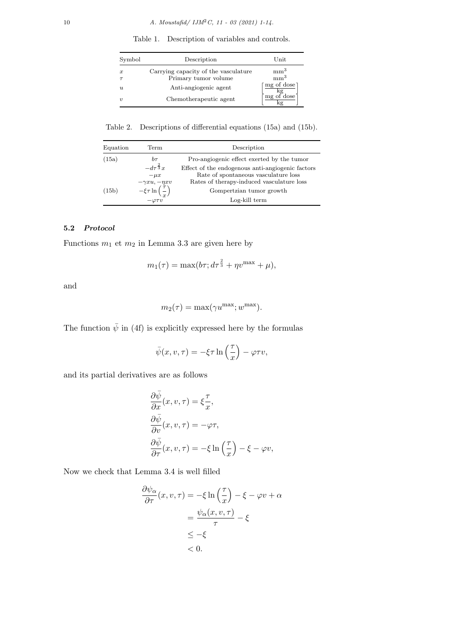Symbol Description Unit *x* Carrying capacity of the vasculature  $\mu m^3$ <br> *r* Primary tumor volume  $mn^3$ *τ* Primary tumor volume mm<sup>3</sup><br> *Δnti-angiogenic agent* [mg of dose *u* Anti-angiogenic agent  $\frac{\text{of dose}}{\text{kg}}$  $v$  Chemotherapeutic agent  $\frac{\mathrm{of~dose}}{\mathrm{kg}} \Big]$ 

Table 1. Description of variables and controls.

Table 2. Descriptions of differential equations (15a) and (15b).

| Equation | Term                                       | Description                                      |  |
|----------|--------------------------------------------|--------------------------------------------------|--|
| (15a)    | $b\tau$                                    | Pro-angiogenic effect exerted by the tumor       |  |
|          | $-d\tau^{\frac{2}{3}}x$                    | Effect of the endogenous anti-angiogenic factors |  |
|          | $-\mu x$                                   | Rate of spontaneous vasculature loss             |  |
|          | $-\gamma xu, -\eta xv$                     | Rates of therapy-induced vasculature loss        |  |
| (15b)    | $-\xi \tau \ln\left(\frac{\tau}{x}\right)$ | Gompertzian tumor growth                         |  |
|          | $-\varphi\tau\ddot{v}$                     | Log-kill term                                    |  |

# **5.2** *Protocol*

Functions *m*<sup>1</sup> et *m*<sup>2</sup> in Lemma 3.3 are given here by

$$
m_1(\tau) = \max(b\tau; d\tau^{\frac{2}{3}} + \eta v^{\max} + \mu),
$$

and

$$
m_2(\tau) = \max(\gamma u^{\max}; w^{\max}).
$$

The function  $\bar{\psi}$  in (4f) is explicitly expressed here by the formulas

$$
\bar{\psi}(x,v,\tau) = -\xi\tau \ln\left(\frac{\tau}{x}\right) - \varphi\tau v,
$$

and its partial derivatives are as follows

$$
\frac{\partial \bar{\psi}}{\partial x}(x, v, \tau) = \xi \frac{\tau}{x},
$$
  
\n
$$
\frac{\partial \bar{\psi}}{\partial v}(x, v, \tau) = -\varphi \tau,
$$
  
\n
$$
\frac{\partial \bar{\psi}}{\partial \tau}(x, v, \tau) = -\xi \ln\left(\frac{\tau}{x}\right) - \xi - \varphi v,
$$

Now we check that Lemma 3.4 is well filled

$$
\frac{\partial \psi_{\alpha}}{\partial \tau}(x, v, \tau) = -\xi \ln\left(\frac{\tau}{x}\right) - \xi - \varphi v + \alpha
$$

$$
= \frac{\psi_{\alpha}(x, v, \tau)}{\tau} - \xi
$$

$$
\leq -\xi
$$

$$
< 0.
$$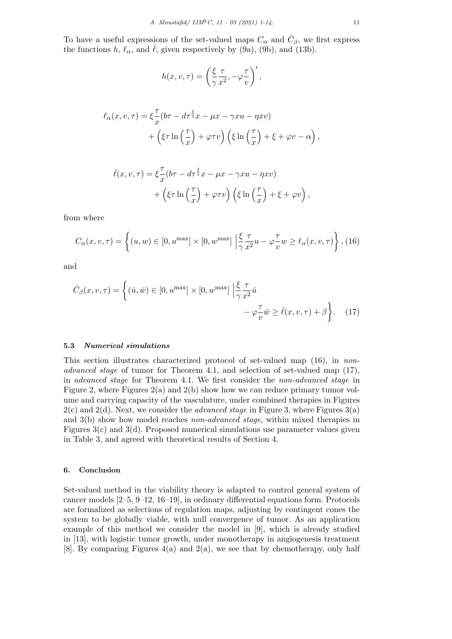To have a useful expressions of the set-valued maps  $C_{\alpha}$  and  $\bar{C}_{\beta}$ , we first express the functions *h*,  $\ell_{\alpha}$ , and  $\overline{\ell}$ , given respectively by (9a), (9b), and (13b).

$$
h(x, v, \tau) = \left(\frac{\xi}{\gamma} \frac{\tau}{x^2}, -\varphi \frac{\tau}{v}\right)',
$$

$$
\ell_{\alpha}(x, v, \tau) = \xi \frac{\tau}{x} (b\tau - d\tau^{\frac{2}{3}} x - \mu x - \gamma x u - \eta x v) + \left(\xi \tau \ln\left(\frac{\tau}{x}\right) + \varphi \tau v\right) \left(\xi \ln\left(\frac{\tau}{x}\right) + \xi + \varphi v - \alpha\right),
$$

$$
\bar{\ell}(x, v, \tau) = \xi \frac{\tau}{x} (b\tau - d\tau^{\frac{2}{3}} x - \mu x - \gamma x u - \eta x v) + \left( \xi \tau \ln\left(\frac{\tau}{x}\right) + \varphi \tau v \right) \left( \xi \ln\left(\frac{\tau}{x}\right) + \xi + \varphi v \right),
$$

from where

$$
C_{\alpha}(x, v, \tau) = \left\{ (u, w) \in [0, u^{\max}] \times [0, w^{\max}] \left| \frac{\xi}{\gamma} \frac{\tau}{x^2} u - \varphi \frac{\tau}{v} w \ge \ell_{\alpha}(x, v, \tau) \right. \right\}, (16)
$$

and

$$
\bar{C}_{\beta}(x,v,\tau) = \left\{ (\bar{u},\bar{w}) \in [0, u^{\max}] \times [0, w^{\max}] \middle| \frac{\xi}{\gamma} \frac{\tau}{x^2} \bar{u} - \varphi \frac{\tau}{v} \bar{w} \ge \bar{\ell}(x,v,\tau) + \beta \right\}.
$$
 (17)

### **5.3** *Numerical simulations*

This section illustrates characterized protocol of set-valued map (16), in *nonadvanced stage* of tumor for Theorem 4.1, and selection of set-valued map (17), in *advanced stage* for Theorem 4.1. We first consider the *non-advanced stage* in Figure 2, where Figures 2(a) and 2(b) show how we can reduce primary tumor volume and carrying capacity of the vasculature, under combined therapies in Figures 2(c) and 2(d). Next, we consider the *advanced stage* in Figure 3, where Figures 3(a) and 3(b) show how model reaches *non-advanced stage*, within mixed therapies in Figures 3(c) and 3(d). Proposed numerical simulations use parameter values given in Table 3, and agreed with theoretical results of Section 4.

### **6. Conclusion**

Set-valued method in the viability theory is adapted to control general system of cancer models [2–5, 9–12, 16–19], in ordinary differential equations form. Protocols are formalized as selections of regulation maps, adjusting by contingent cones the system to be globally viable, with null convergence of tumor. As an application example of this method we consider the model in [9], which is already studied in [13], with logistic tumor growth, under monotherapy in angiogenesis treatment [8]. By comparing Figures  $4(a)$  and  $2(a)$ , we see that by chemotherapy, only half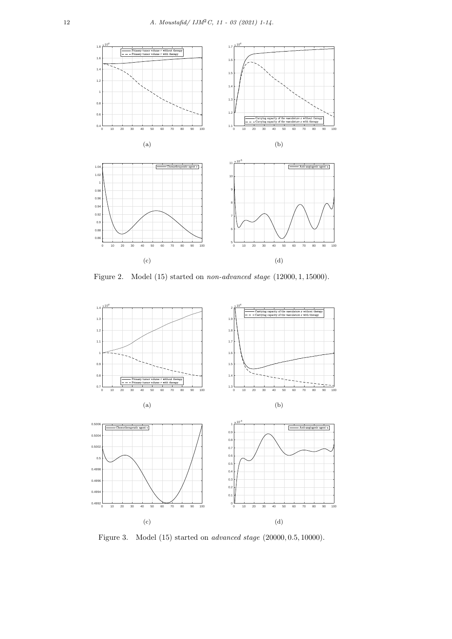

Figure 2. Model (15) started on *non-advanced stage* (12000*,* 1*,* 15000).



Figure 3. Model (15) started on *advanced stage* (20000*,* 0*.*5*,* 10000).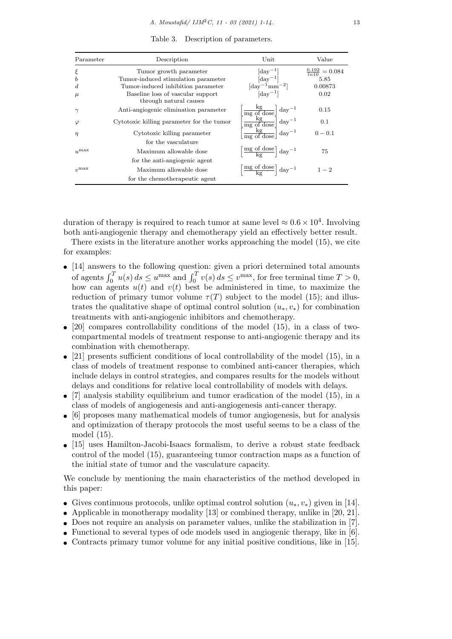| Parameter        | Description                                                 | Unit                                                                                                                                                                                                        | Value                          |
|------------------|-------------------------------------------------------------|-------------------------------------------------------------------------------------------------------------------------------------------------------------------------------------------------------------|--------------------------------|
| ξ                | Tumor growth parameter                                      | $[\text{day}^{-1}]$                                                                                                                                                                                         | $\frac{0.192}{\ln 10} = 0.084$ |
| $\boldsymbol{b}$ | Tumor-induced stimulation parameter                         | $\lbrack \text{day}^{-1} \rbrack$                                                                                                                                                                           | 5.85                           |
| d.               | Tumor-induced inhibition parameter                          | $\left[\text{day}^{-1}\text{mm}^{-2}\right]$                                                                                                                                                                | 0.00873                        |
| $\mu$            | Baseline loss of vascular support<br>through natural causes | $\lceil \text{day}^{-1} \rceil$                                                                                                                                                                             | 0.02                           |
| $\gamma$         | Anti-angiogenic elimination parameter                       | $\begin{array}{ll} \left[\frac{\text{kg}}{\text{mg of dose}}\right] \text{day}^{-1} \\ \left[\frac{\text{kg}}{\text{mg of dose}}\right] \text{day}^{-1} \\ \frac{\text{kg}}{\text{mg of dose}} \end{array}$ | 0.15                           |
| $\varphi$        | Cytotoxic killing parameter for the tumor                   |                                                                                                                                                                                                             | 0.1                            |
| $\eta$           | Cytotoxic killing parameter                                 |                                                                                                                                                                                                             | $0 - 0.1$                      |
|                  | for the vasculature                                         |                                                                                                                                                                                                             |                                |
| $u^{\max}$       | Maximum allowable dose                                      | $\left[\frac{\text{mg of dose}}{\text{kg}}\right]\text{day}^{-1}$                                                                                                                                           | 75                             |
|                  | for the anti-angiogenic agent                               |                                                                                                                                                                                                             |                                |
| $v_1$ max        | Maximum allowable dose                                      | $\left[\frac{\text{mg of dose}}{\text{kg}}\right] \text{day}^{-1}$                                                                                                                                          | $1 - 2$                        |
|                  | for the chemotherapeutic agent                              |                                                                                                                                                                                                             |                                |

Table 3. Description of parameters.

duration of therapy is required to reach tumor at same level  $\approx 0.6 \times 10^4$ . Involving both anti-angiogenic therapy and chemotherapy yield an effectively better result.

There exists in the literature another works approaching the model (15), we cite for examples:

- *•* [14] answers to the following question: given a priori determined total amounts of agents  $\int_0^T u(s) ds \le u^{\max}$  and  $\int_0^T v(s) ds \le v^{\max}$ , for free terminal time  $T > 0$ , how can agents *u*(*t*) and *v*(*t*) best be administered in time, to maximize the reduction of primary tumor volume  $\tau(T)$  subject to the model (15); and illustrates the qualitative shape of optimal control solution  $(u_*, v_*)$  for combination treatments with anti-angiogenic inhibitors and chemotherapy.
- [20] compares controllability conditions of the model (15), in a class of twocompartmental models of treatment response to anti-angiogenic therapy and its combination with chemotherapy.
- [21] presents sufficient conditions of local controllability of the model (15), in a class of models of treatment response to combined anti-cancer therapies, which include delays in control strategies, and compares results for the models without delays and conditions for relative local controllability of models with delays.
- [7] analysis stability equilibrium and tumor eradication of the model (15), in a class of models of angiogenesis and anti-angiogenesis anti-cancer therapy.
- [6] proposes many mathematical models of tumor angiogenesis, but for analysis and optimization of therapy protocols the most useful seems to be a class of the model (15).
- *•* [15] uses Hamilton-Jacobi-Isaacs formalism, to derive a robust state feedback control of the model (15), guaranteeing tumor contraction maps as a function of the initial state of tumor and the vasculature capacity.

We conclude by mentioning the main characteristics of the method developed in this paper:

- *•* Gives continuous protocols, unlike optimal control solution (*u∗, v∗*) given in [14].
- Applicable in monotherapy modality [13] or combined therapy, unlike in [20, 21].
- Does not require an analysis on parameter values, unlike the stabilization in [7].
- Functional to several types of ode models used in angiogenic therapy, like in [6].
- Contracts primary tumor volume for any initial positive conditions, like in [15].